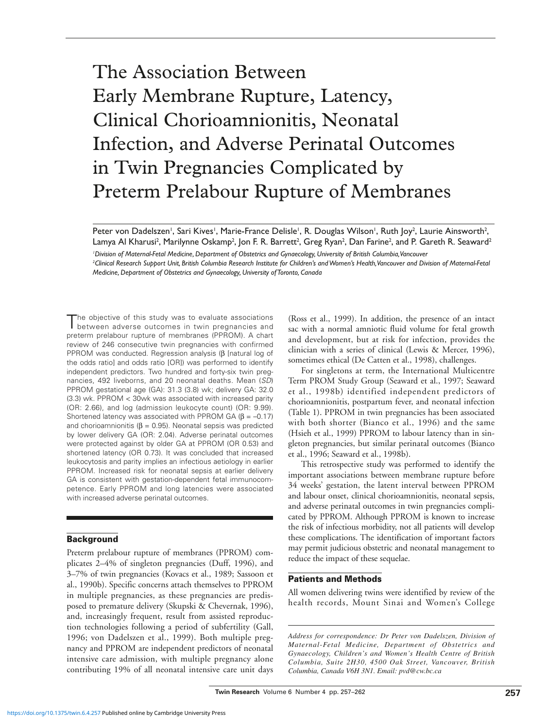# The Association Between Early Membrane Rupture, Latency, Clinical Chorioamnionitis, Neonatal Infection, and Adverse Perinatal Outcomes in Twin Pregnancies Complicated by Preterm Prelabour Rupture of Membranes

Peter von Dadelszen', Sari Kives', Marie-France Delisle', R. Douglas Wilson', Ruth Joy<sup>2</sup>, Laurie Ainsworth<sup>2</sup>, Lamya Al Kharusi<sup>2</sup>, Marilynne Oskamp<sup>2</sup>, Jon F. R. Barrett<sup>2</sup>, Greg Ryan<sup>2</sup>, Dan Farine<sup>2</sup>, and P. Gareth R. Seaward<sup>2</sup>

*1 Division of Maternal-Fetal Medicine, Department of Obstetrics and Gynaecology, University of British Columbia,Vancouver 2 Clinical Research Support Unit, British Columbia Research Institute for Children's and Women's Health,Vancouver and Division of Maternal-Fetal Medicine, Department of Obstetrics and Gynaecology, University of Toronto, Canada*

The objective of this study was to evaluate associations between adverse outcomes in twin pregnancies and preterm prelabour rupture of membranes (PPROM). A chart review of 246 consecutive twin pregnancies with confirmed PPROM was conducted. Regression analysis (β [natural log of the odds ratio] and odds ratio [OR]) was performed to identify independent predictors. Two hundred and forty-six twin pregnancies, 492 liveborns, and 20 neonatal deaths. Mean (*SD*) PPROM gestational age (GA): 31.3 (3.8) wk; delivery GA: 32.0 (3.3) wk. PPROM < 30wk was associated with increased parity (OR: 2.66), and log (admission leukocyte count) (OR: 9.99). Shortened latency was associated with PPROM GA ( $\beta$  = -0.17) and chorioamnionitis ( $\beta$  = 0.95). Neonatal sepsis was predicted by lower delivery GA (OR: 2.04). Adverse perinatal outcomes were protected against by older GA at PPROM (OR 0.53) and shortened latency (OR 0.73). It was concluded that increased leukocytosis and parity implies an infectious aetiology in earlier PPROM. Increased risk for neonatal sepsis at earlier delivery GA is consistent with gestation-dependent fetal immunocompetence. Early PPROM and long latencies were associated with increased adverse perinatal outcomes.

# **Background**

Preterm prelabour rupture of membranes (PPROM) complicates 2–4% of singleton pregnancies (Duff, 1996), and 3–7% of twin pregnancies (Kovacs et al., 1989; Sassoon et al., 1990b). Specific concerns attach themselves to PPROM in multiple pregnancies, as these pregnancies are predisposed to premature delivery (Skupski & Chevernak, 1996), and, increasingly frequent, result from assisted reproduction technologies following a period of subfertility (Gall, 1996; von Dadelszen et al., 1999). Both multiple pregnancy and PPROM are independent predictors of neonatal intensive care admission, with multiple pregnancy alone contributing 19% of all neonatal intensive care unit days

(Ross et al., 1999). In addition, the presence of an intact sac with a normal amniotic fluid volume for fetal growth and development, but at risk for infection, provides the clinician with a series of clinical (Lewis & Mercer, 1996), sometimes ethical (De Catten et al., 1998), challenges.

For singletons at term, the International Multicentre Term PROM Study Group (Seaward et al., 1997; Seaward et al., 1998b) identified independent predictors of chorioamnionitis, postpartum fever, and neonatal infection (Table 1). PPROM in twin pregnancies has been associated with both shorter (Bianco et al., 1996) and the same (Hsieh et al., 1999) PPROM to labour latency than in singleton pregnancies, but similar perinatal outcomes (Bianco et al., 1996; Seaward et al., 1998b).

This retrospective study was performed to identify the important associations between membrane rupture before 34 weeks' gestation, the latent interval between PPROM and labour onset, clinical chorioamnionitis, neonatal sepsis, and adverse perinatal outcomes in twin pregnancies complicated by PPROM. Although PPROM is known to increase the risk of infectious morbidity, not all patients will develop these complications. The identification of important factors may permit judicious obstetric and neonatal management to reduce the impact of these sequelae.

# **Patients and Methods**

All women delivering twins were identified by review of the health records, Mount Sinai and Women's College

*Address for correspondence: Dr Peter von Dadelszen, Division of Maternal-Fetal Medicine, Department of Obstetrics and Gynaecology, Children's and Women's Health Centre of British Columbia, Suite 2H30, 4500 Oak Street, Vancouver, British Columbia, Canada V6H 3N1. Email: pvd@cw.bc.ca*

**Twin Research** Volume 6 Number 4 pp. 257–262 **257**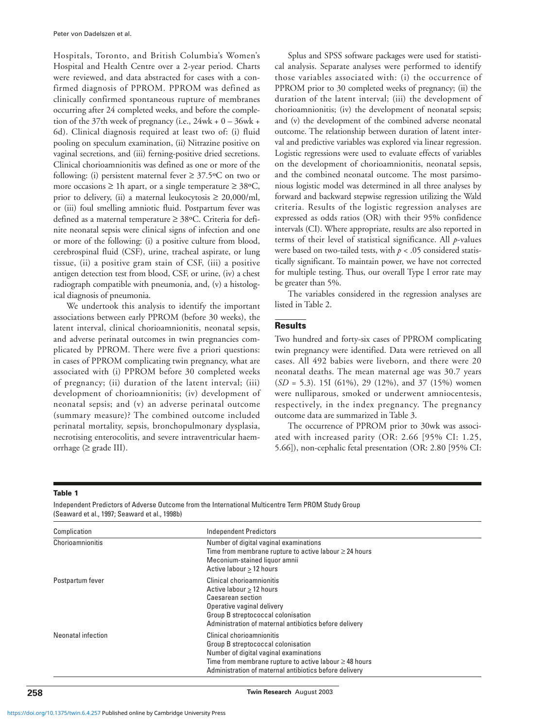Hospitals, Toronto, and British Columbia's Women's Hospital and Health Centre over a 2-year period. Charts were reviewed, and data abstracted for cases with a confirmed diagnosis of PPROM. PPROM was defined as clinically confirmed spontaneous rupture of membranes occurring after 24 completed weeks, and before the completion of the 37th week of pregnancy (i.e.,  $24wk + 0 - 36wk + 1$ 6d). Clinical diagnosis required at least two of: (i) fluid pooling on speculum examination, (ii) Nitrazine positive on vaginal secretions, and (iii) ferning-positive dried secretions. Clinical chorioamnionitis was defined as one or more of the following: (i) persistent maternal fever  $\geq 37.5$ °C on two or more occasions  $\geq 1$ h apart, or a single temperature  $\geq 38$ °C, prior to delivery, (ii) a maternal leukocytosis  $\geq 20,000/\text{ml}$ , or (iii) foul smelling amniotic fluid. Postpartum fever was defined as a maternal temperature ≥ 38ºC. Criteria for definite neonatal sepsis were clinical signs of infection and one or more of the following: (i) a positive culture from blood, cerebrospinal fluid (CSF), urine, tracheal aspirate, or lung tissue, (ii) a positive gram stain of CSF, (iii) a positive antigen detection test from blood, CSF, or urine, (iv) a chest radiograph compatible with pneumonia, and, (v) a histological diagnosis of pneumonia.

We undertook this analysis to identify the important associations between early PPROM (before 30 weeks), the latent interval, clinical chorioamnionitis, neonatal sepsis, and adverse perinatal outcomes in twin pregnancies complicated by PPROM. There were five a priori questions: in cases of PPROM complicating twin pregnancy, what are associated with (i) PPROM before 30 completed weeks of pregnancy; (ii) duration of the latent interval; (iii) development of chorioamnionitis; (iv) development of neonatal sepsis; and (v) an adverse perinatal outcome (summary measure)? The combined outcome included perinatal mortality, sepsis, bronchopulmonary dysplasia, necrotising enterocolitis, and severe intraventricular haemorrhage ( $\geq$  grade III).

Splus and SPSS software packages were used for statistical analysis. Separate analyses were performed to identify those variables associated with: (i) the occurrence of PPROM prior to 30 completed weeks of pregnancy; (ii) the duration of the latent interval; (iii) the development of chorioamnionitis; (iv) the development of neonatal sepsis; and (v) the development of the combined adverse neonatal outcome. The relationship between duration of latent interval and predictive variables was explored via linear regression. Logistic regressions were used to evaluate effects of variables on the development of chorioamnionitis, neonatal sepsis, and the combined neonatal outcome. The most parsimonious logistic model was determined in all three analyses by forward and backward stepwise regression utilizing the Wald criteria. Results of the logistic regression analyses are expressed as odds ratios (OR) with their 95% confidence intervals (CI). Where appropriate, results are also reported in terms of their level of statistical significance. All *p*-values were based on two-tailed tests, with *p* < .05 considered statistically significant. To maintain power, we have not corrected for multiple testing. Thus, our overall Type I error rate may be greater than 5%.

The variables considered in the regression analyses are listed in Table 2.

## **Results**

Two hundred and forty-six cases of PPROM complicating twin pregnancy were identified. Data were retrieved on all cases. All 492 babies were liveborn, and there were 20 neonatal deaths. The mean maternal age was 30.7 years (*SD* = 5.3). 15I (61%), 29 (12%), and 37 (15%) women were nulliparous, smoked or underwent amniocentesis, respectively, in the index pregnancy. The pregnancy outcome data are summarized in Table 3.

The occurrence of PPROM prior to 30wk was associated with increased parity (OR: 2.66 [95% CI: 1.25, 5.66]), non-cephalic fetal presentation (OR: 2.80 [95% CI:

#### **Table 1**

Independent Predictors of Adverse Outcome from the International Multicentre Term PROM Study Group (Seaward et al., 1997; Seaward et al., 1998b)

| Complication       | <b>Independent Predictors</b>                                                                                                                                                                                                      |
|--------------------|------------------------------------------------------------------------------------------------------------------------------------------------------------------------------------------------------------------------------------|
| Chorioamnionitis   | Number of digital vaginal examinations<br>Time from membrane rupture to active labour $\geq$ 24 hours<br>Meconium-stained liquor amnii<br>Active labour > 12 hours                                                                 |
| Postpartum fever   | Clinical chorioamnionitis<br>Active labour > 12 hours<br>Caesarean section<br>Operative vaginal delivery<br>Group B streptococcal colonisation<br>Administration of maternal antibiotics before delivery                           |
| Neonatal infection | Clinical chorioamnionitis<br>Group B streptococcal colonisation<br>Number of digital vaginal examinations<br>Time from membrane rupture to active labour $\geq$ 48 hours<br>Administration of maternal antibiotics before delivery |

**258 Twin Research** August 2003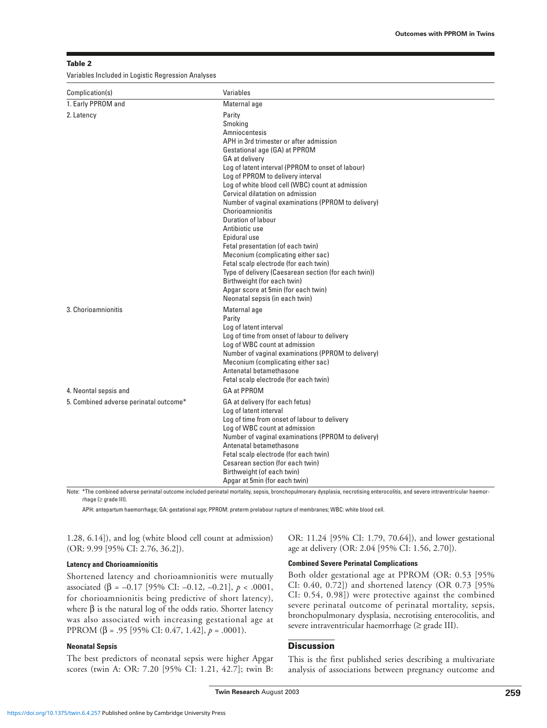#### **Table 2**

Variables Included in Logistic Regression Analyses

| Complication(s)                        | Variables                                                                                                                                                                                                                                                                                                                                                                                                                                                                                                                                                                                                                                                                                              |
|----------------------------------------|--------------------------------------------------------------------------------------------------------------------------------------------------------------------------------------------------------------------------------------------------------------------------------------------------------------------------------------------------------------------------------------------------------------------------------------------------------------------------------------------------------------------------------------------------------------------------------------------------------------------------------------------------------------------------------------------------------|
| 1. Early PPROM and                     | Maternal age                                                                                                                                                                                                                                                                                                                                                                                                                                                                                                                                                                                                                                                                                           |
| 2. Latency                             | Parity<br>Smoking<br>Amniocentesis<br>APH in 3rd trimester or after admission<br>Gestational age (GA) at PPROM<br>GA at delivery<br>Log of latent interval (PPROM to onset of labour)<br>Log of PPROM to delivery interval<br>Log of white blood cell (WBC) count at admission<br>Cervical dilatation on admission<br>Number of vaginal examinations (PPROM to delivery)<br>Chorioamnionitis<br>Duration of labour<br>Antibiotic use<br>Epidural use<br>Fetal presentation (of each twin)<br>Meconium (complicating either sac)<br>Fetal scalp electrode (for each twin)<br>Type of delivery (Caesarean section (for each twin))<br>Birthweight (for each twin)<br>Apgar score at 5min (for each twin) |
| 3. Chorioamnionitis                    | Neonatal sepsis (in each twin)<br>Maternal age<br>Parity<br>Log of latent interval<br>Log of time from onset of labour to delivery<br>Log of WBC count at admission<br>Number of vaginal examinations (PPROM to delivery)<br>Meconium (complicating either sac)<br>Antenatal betamethasone<br>Fetal scalp electrode (for each twin)                                                                                                                                                                                                                                                                                                                                                                    |
| 4. Neontal sepsis and                  | <b>GA at PPROM</b>                                                                                                                                                                                                                                                                                                                                                                                                                                                                                                                                                                                                                                                                                     |
| 5. Combined adverse perinatal outcome* | GA at delivery (for each fetus)<br>Log of latent interval<br>Log of time from onset of labour to delivery<br>Log of WBC count at admission<br>Number of vaginal examinations (PPROM to delivery)<br>Antenatal betamethasone<br>Fetal scalp electrode (for each twin)<br>Cesarean section (for each twin)<br>Birthweight (of each twin)<br>Apgar at 5min (for each twin)                                                                                                                                                                                                                                                                                                                                |

Note: \*The combined adverse perinatal outcome included perinatal mortality, sepsis, bronchopulmonary dysplasia, necrotising enterocolitis, and severe intraventricular haemorrhage  $(\geq$  grade III)

APH: antepartum haemorrhage; GA: gestational age; PPROM: preterm prelabour rupture of membranes; WBC: white blood cell.

1.28, 6.14]), and log (white blood cell count at admission) (OR: 9.99 [95% CI: 2.76, 36.2]).

#### **Latency and Chorioamnionitis**

Shortened latency and chorioamnionitis were mutually associated (β = –0.17 [95% CI: –0.12, –0.21], *p* < .0001, for chorioamnionitis being predictive of short latency), where  $\beta$  is the natural log of the odds ratio. Shorter latency was also associated with increasing gestational age at PPROM (β = .95 [95% CI: 0.47, 1.42], *p* = .0001).

## **Neonatal Sepsis**

The best predictors of neonatal sepsis were higher Apgar scores (twin A: OR: 7.20 [95% CI: 1.21, 42.7]; twin B:

OR: 11.24 [95% CI: 1.79, 70.64]), and lower gestational age at delivery (OR: 2.04 [95% CI: 1.56, 2.70]).

#### **Combined Severe Perinatal Complications**

Both older gestational age at PPROM (OR: 0.53 [95% CI: 0.40, 0.72]) and shortened latency (OR 0.73 [95% CI: 0.54, 0.98]) were protective against the combined severe perinatal outcome of perinatal mortality, sepsis, bronchopulmonary dysplasia, necrotising enterocolitis, and severe intraventricular haemorrhage (≥ grade III).

## **Discussion**

This is the first published series describing a multivariate analysis of associations between pregnancy outcome and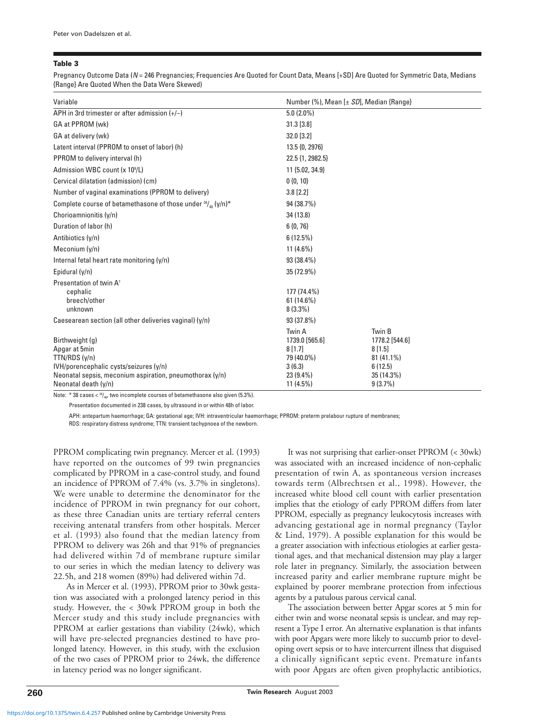#### **Table 3**

Pregnancy Outcome Data (*N* = 246 Pregnancies; Frequencies Are Quoted for Count Data, Means [+SD] Are Quoted for Symmetric Data, Medians {Range} Are Quoted When the Data Were Skewed)

| Variable                                                      | Number (%), Mean [ $\pm$ <i>SD</i> ], Median {Range} |                |  |
|---------------------------------------------------------------|------------------------------------------------------|----------------|--|
| APH in 3rd trimester or after admission $(+/-)$               | $5.0(2.0\%)$                                         |                |  |
| GA at PPROM (wk)                                              | $31.3$ [ $3.8$ ]                                     |                |  |
| GA at delivery (wk)                                           | $32.0$ [ $3.2$ ]                                     |                |  |
| Latent interval (PPROM to onset of labor) (h)                 | 13.5 {0, 2976}                                       |                |  |
| PPROM to delivery interval (h)                                | $22.5\{1, 2982.5\}$                                  |                |  |
| Admission WBC count (x 10 <sup>9</sup> /L)                    | 11 {5.02, 34.9}                                      |                |  |
| Cervical dilatation (admission) (cm)                          | $0\{0, 10\}$                                         |                |  |
| Number of vaginal examinations (PPROM to delivery)            | $3.8$ [2.2]                                          |                |  |
| Complete course of betamethasone of those under $34/6$ (y/n)* | 94 (38.7%)                                           |                |  |
| Chorioamnionitis (y/n)                                        | 34 (13.8)                                            |                |  |
| Duration of labor (h)                                         | $6\{0, 76\}$                                         |                |  |
| Antibiotics (y/n)                                             | 6(12.5%)                                             |                |  |
| Meconium (y/n)                                                | $11(4.6\%)$                                          |                |  |
| Internal fetal heart rate monitoring (y/n)                    | 93 (38.4%)                                           |                |  |
| Epidural (y/n)                                                | 35 (72.9%)                                           |                |  |
| Presentation of twin A <sup>t</sup>                           |                                                      |                |  |
| cephalic                                                      | 177 (74.4%)                                          |                |  |
| breech/other<br>unknown                                       | 61 (14.6%)<br>$8(3.3\%)$                             |                |  |
| Caesearean section (all other deliveries vaginal) (y/n)       | 93 (37.8%)                                           |                |  |
|                                                               | Twin A                                               | Twin B         |  |
| Birthweight (g)                                               | 1739.0 [565.6]                                       | 1778.2 [544.6] |  |
| Apgar at 5min                                                 | 8[1.7]                                               | 8[1.5]         |  |
| TTN/RDS (y/n)                                                 | 79 (40.0%)                                           | 81 (41.1%)     |  |
| IVH/porencephalic cysts/seizures (y/n)                        | 3(6.3)                                               | 6(12.5)        |  |
| Neonatal sepsis, meconium aspiration, pneumothorax (y/n)      | 23 (9.4%)                                            | 35(14.3%)      |  |
| Neonatal death (y/n)                                          | 11(4.5%)                                             | 9(3.7%)        |  |

Note:  $*$  38 cases  $\langle \frac{34}{407} \times \frac{340}{100} \times \frac{360}{100} \times \frac{360}{1000} \times \frac{360}{1000} \times \frac{360}{10000} \times \frac{360}{10000} \times \frac{360}{100000} \times \frac{360}{10000000} \times \frac{360}{1000000000} \times \frac{360}{10000000000} \times \frac{360}{10000000000} \times \frac{360}{$ 

Presentation documented in 238 cases, by ultrasound in or within 48h of labor.

APH: antepartum haemorrhage; GA: gestational age; IVH: intraventricular haemorrhage; PPROM: preterm prelabour rupture of membranes; RDS: respiratory distress syndrome; TTN: transient tachypnoea of the newborn.

PPROM complicating twin pregnancy. Mercer et al. (1993) have reported on the outcomes of 99 twin pregnancies complicated by PPROM in a case-control study, and found an incidence of PPROM of 7.4% (vs. 3.7% in singletons). We were unable to determine the denominator for the incidence of PPROM in twin pregnancy for our cohort, as these three Canadian units are tertiary referral centers receiving antenatal transfers from other hospitals. Mercer et al. (1993) also found that the median latency from PPROM to delivery was 26h and that 91% of pregnancies had delivered within 7d of membrane rupture similar to our series in which the median latency to delivery was 22.5h, and 218 women (89%) had delivered within 7d.

As in Mercer et al. (1993), PPROM prior to 30wk gestation was associated with a prolonged latency period in this study. However, the < 30wk PPROM group in both the Mercer study and this study include pregnancies with PPROM at earlier gestations than viability (24wk), which will have pre-selected pregnancies destined to have prolonged latency. However, in this study, with the exclusion of the two cases of PPROM prior to 24wk, the difference in latency period was no longer significant.

It was not surprising that earlier-onset PPROM (< 30wk) was associated with an increased incidence of non-cephalic presentation of twin A, as spontaneous version increases towards term (Albrechtsen et al., 1998). However, the increased white blood cell count with earlier presentation implies that the etiology of early PPROM differs from later PPROM, especially as pregnancy leukocytosis increases with advancing gestational age in normal pregnancy (Taylor & Lind, 1979). A possible explanation for this would be a greater association with infectious etiologies at earlier gestational ages, and that mechanical distension may play a larger role later in pregnancy. Similarly, the association between increased parity and earlier membrane rupture might be explained by poorer membrane protection from infectious agents by a patulous parous cervical canal.

The association between better Apgar scores at 5 min for either twin and worse neonatal sepsis is unclear, and may represent a Type I error. An alternative explanation is that infants with poor Apgars were more likely to succumb prior to developing overt sepsis or to have intercurrent illness that disguised a clinically significant septic event. Premature infants with poor Apgars are often given prophylactic antibiotics,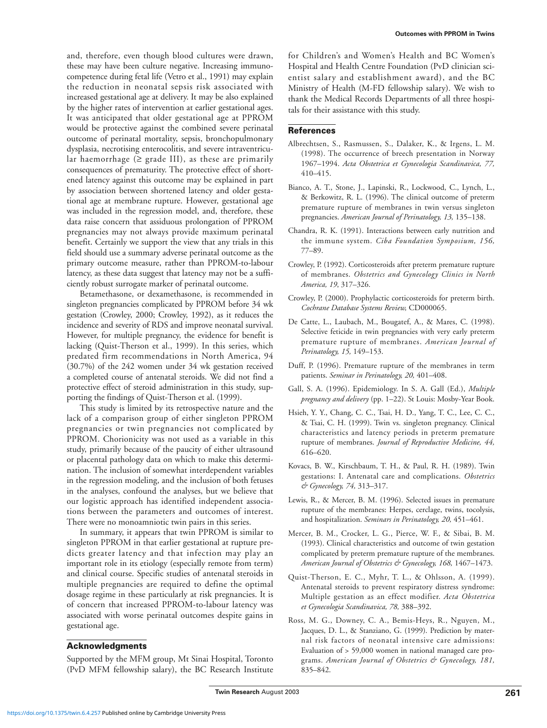and, therefore, even though blood cultures were drawn, these may have been culture negative. Increasing immunocompetence during fetal life (Vetro et al., 1991) may explain the reduction in neonatal sepsis risk associated with increased gestational age at delivery. It may be also explained by the higher rates of intervention at earlier gestational ages. It was anticipated that older gestational age at PPROM would be protective against the combined severe perinatal outcome of perinatal mortality, sepsis, bronchopulmonary dysplasia, necrotising enterocolitis, and severe intraventricular haemorrhage  $(≥$  grade III), as these are primarily consequences of prematurity. The protective effect of shortened latency against this outcome may be explained in part by association between shortened latency and older gestational age at membrane rupture. However, gestational age was included in the regression model, and, therefore, these data raise concern that assiduous prolongation of PPROM pregnancies may not always provide maximum perinatal benefit. Certainly we support the view that any trials in this field should use a summary adverse perinatal outcome as the primary outcome measure, rather than PPROM-to-labour latency, as these data suggest that latency may not be a sufficiently robust surrogate marker of perinatal outcome.

Betamethasone, or dexamethasone, is recommended in singleton pregnancies complicated by PPROM before 34 wk gestation (Crowley, 2000; Crowley, 1992), as it reduces the incidence and severity of RDS and improve neonatal survival. However, for multiple pregnancy, the evidence for benefit is lacking (Quist-Therson et al., 1999). In this series, which predated firm recommendations in North America, 94 (30.7%) of the 242 women under 34 wk gestation received a completed course of antenatal steroids. We did not find a protective effect of steroid administration in this study, supporting the findings of Quist-Therson et al. (1999).

This study is limited by its retrospective nature and the lack of a comparison group of either singleton PPROM pregnancies or twin pregnancies not complicated by PPROM. Chorionicity was not used as a variable in this study, primarily because of the paucity of either ultrasound or placental pathology data on which to make this determination. The inclusion of somewhat interdependent variables in the regression modeling, and the inclusion of both fetuses in the analyses, confound the analyses, but we believe that our logistic approach has identified independent associations between the parameters and outcomes of interest. There were no monoamniotic twin pairs in this series.

In summary, it appears that twin PPROM is similar to singleton PPROM in that earlier gestational at rupture predicts greater latency and that infection may play an important role in its etiology (especially remote from term) and clinical course. Specific studies of antenatal steroids in multiple pregnancies are required to define the optimal dosage regime in these particularly at risk pregnancies. It is of concern that increased PPROM-to-labour latency was associated with worse perinatal outcomes despite gains in gestational age.

# **Acknowledgments**

Supported by the MFM group, Mt Sinai Hospital, Toronto (PvD MFM fellowship salary), the BC Research Institute for Children's and Women's Health and BC Women's Hospital and Health Centre Foundation (PvD clinician scientist salary and establishment award), and the BC Ministry of Health (M-FD fellowship salary). We wish to thank the Medical Records Departments of all three hospitals for their assistance with this study.

## **References**

- Albrechtsen, S., Rasmussen, S., Dalaker, K., & Irgens, L. M. (1998). The occurrence of breech presentation in Norway 1967–1994. *Acta Obstetrica et Gynecologia Scandinavica, 77,* 410–415.
- Bianco, A. T., Stone, J., Lapinski, R., Lockwood, C., Lynch, L., & Berkowitz, R. L. (1996). The clinical outcome of preterm premature rupture of membranes in twin versus singleton pregnancies. *American Journal of Perinatology, 13,* 135–138.
- Chandra, R. K. (1991). Interactions between early nutrition and the immune system. *Ciba Foundation Symposium, 156,* 77–89.
- Crowley, P. (1992). Corticosteroids after preterm premature rupture of membranes. *Obstetrics and Gynecology Clinics in North America, 19*, 317–326.
- Crowley, P. (2000). Prophylactic corticosteroids for preterm birth. *Cochrane Database Systems Review,* CD000065.
- De Catte, L., Laubach, M., Bougatef, A., & Mares, C. (1998). Selective feticide in twin pregnancies with very early preterm premature rupture of membranes. *American Journal of Perinatology, 15,* 149–153.
- Duff, P. (1996). Premature rupture of the membranes in term patients. *Seminar in Perinatology, 20,* 401–408.
- Gall, S. A. (1996). Epidemiology. In S. A. Gall (Ed.), *Multiple pregnancy and delivery* (pp. 1–22). St Louis: Mosby-Year Book.
- Hsieh, Y. Y., Chang, C. C., Tsai, H. D., Yang, T. C., Lee, C. C., & Tsai, C. H. (1999). Twin vs. singleton pregnancy. Clinical characteristics and latency periods in preterm premature rupture of membranes. *Journal of Reproductive Medicine, 44,* 616–620.
- Kovacs, B. W., Kirschbaum, T. H., & Paul, R. H. (1989). Twin gestations: I. Antenatal care and complications. *Obstetrics & Gynecology, 74,* 313–317.
- Lewis, R., & Mercer, B. M. (1996). Selected issues in premature rupture of the membranes: Herpes, cerclage, twins, tocolysis, and hospitalization. *Seminars in Perinatology, 20,* 451–461.
- Mercer, B. M., Crocker, L. G., Pierce, W. F., & Sibai, B. M. (1993). Clinical characteristics and outcome of twin gestation complicated by preterm premature rupture of the membranes. *American Journal of Obstetrics & Gynecology, 168,* 1467–1473.
- Quist-Therson, E. C., Myhr, T. L., & Ohlsson, A. (1999). Antenatal steroids to prevent respiratory distress syndrome: Multiple gestation as an effect modifier. *Acta Obstetrica et Gynecologia Scandinavica, 78,* 388–392.
- Ross, M. G., Downey, C. A., Bemis-Heys, R., Nguyen, M., Jacques, D. L., & Stanziano, G. (1999). Prediction by maternal risk factors of neonatal intensive care admissions: Evaluation of > 59,000 women in national managed care programs. *American Journal of Obstetrics & Gynecology, 181,* 835–842.